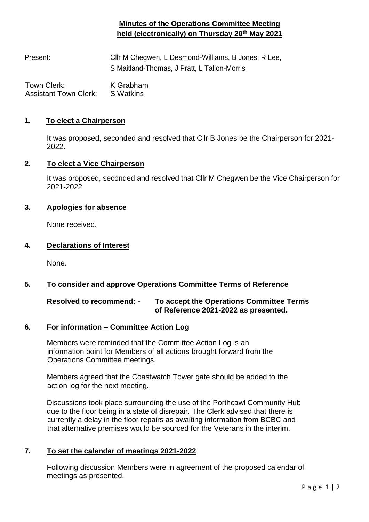# **Minutes of the Operations Committee Meeting held (electronically) on Thursday 20th May 2021**

Present: Cllr M Chegwen, L Desmond-Williams, B Jones, R Lee, S Maitland-Thomas, J Pratt, L Tallon-Morris

Town Clerk: K Grabham Assistant Town Clerk: S Watkins

### **1. To elect a Chairperson**

It was proposed, seconded and resolved that Cllr B Jones be the Chairperson for 2021- 2022.

#### **2. To elect a Vice Chairperson**

It was proposed, seconded and resolved that Cllr M Chegwen be the Vice Chairperson for 2021-2022.

### **3. Apologies for absence**

None received.

### **4. Declarations of Interest**

None.

### **5. To consider and approve Operations Committee Terms of Reference**

### **Resolved to recommend: - To accept the Operations Committee Terms of Reference 2021-2022 as presented.**

### **6. For information – Committee Action Log**

Members were reminded that the Committee Action Log is an information point for Members of all actions brought forward from the Operations Committee meetings.

Members agreed that the Coastwatch Tower gate should be added to the action log for the next meeting.

Discussions took place surrounding the use of the Porthcawl Community Hub due to the floor being in a state of disrepair. The Clerk advised that there is currently a delay in the floor repairs as awaiting information from BCBC and that alternative premises would be sourced for the Veterans in the interim.

### **7. To set the calendar of meetings 2021-2022**

Following discussion Members were in agreement of the proposed calendar of meetings as presented.